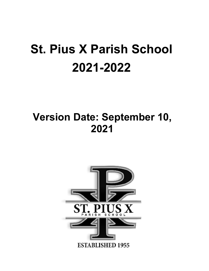# **St. Pius X Parish School 2021-2022**

## **Version Date: September 10, 2021**

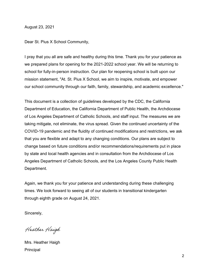August 23, 2021

Dear St. Pius X School Community,

I pray that you all are safe and healthy during this time. Thank you for your patience as we prepared plans for opening for the 2021-2022 school year. We will be returning to school for fully-in-person instruction. Our plan for reopening school is built upon our mission statement, "At. St. Pius X School, we aim to inspire, motivate, and empower our school community through our faith, family, stewardship, and academic excellence."

This document is a collection of guidelines developed by the CDC, the California Department of Education, the California Department of Public Health, the Archdiocese of Los Angeles Department of Catholic Schools, and staff input. The measures we are taking mitigate, not eliminate, the virus spread. Given the continued uncertainty of the COVID-19 pandemic and the fluidity of continued modifications and restrictions, we ask that you are flexible and adapt to any changing conditions. Our plans are subject to change based on future conditions and/or recommendations/requirements put in place by state and local health agencies and in consultation from the Archdiocese of Los Angeles Department of Catholic Schools, and the Los Angeles County Public Health Department.

Again, we thank you for your patience and understanding during these challenging times. We look forward to seeing all of our students in transitional kindergarten through eighth grade on August 24, 2021.

Sincerely,

Heather Haigh

Mrs. Heather Haigh Principal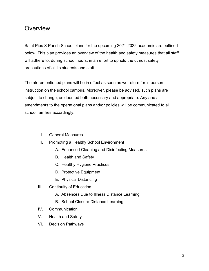### **Overview**

Saint Pius X Parish School plans for the upcoming 2021-2022 academic are outlined below. This plan provides an overview of the health and safety measures that all staff will adhere to, during school hours, in an effort to uphold the utmost safety precautions of all its students and staff.

The aforementioned plans will be in effect as soon as we return for in person instruction on the school campus. Moreover, please be advised, such plans are subject to change, as deemed both necessary and appropriate. Any and all amendments to the operational plans and/or policies will be communicated to all school families accordingly.

- I. General Measures
- II. Promoting a Healthy School Environment
	- A. Enhanced Cleaning and Disinfecting Measures
	- B. Health and Safety
	- C. Healthy Hygiene Practices
	- D. Protective Equipment
	- E. Physical Distancing
- III. Continuity of Education
	- A. Absences Due to Illness Distance Learning
	- B. School Closure Distance Learning
- IV. Communication
- V. Health and Safety
- VI. Decision Pathways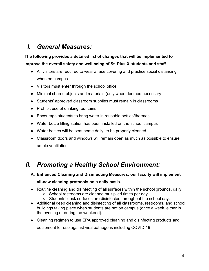## *I. General Measures:*

**The following provides a detailed list of changes that will be implemented to improve the overall safety and well being of St. Pius X students and staff.**

- All visitors are required to wear a face covering and practice social distancing when on campus.
- Visitors must enter through the school office
- Minimal shared objects and materials (only when deemed necessary)
- Students' approved classroom supplies must remain in classrooms
- Prohibit use of drinking fountains
- Encourage students to bring water in reusable bottles/thermos
- Water bottle filling station has been installed on the school campus
- Water bottles will be sent home daily, to be properly cleaned
- Classroom doors and windows will remain open as much as possible to ensure ample ventilation

## *II. Promoting a Healthy School Environment:*

- **A. Enhanced Cleaning and Disinfecting Measures: our faculty will implement all-new cleaning protocols on a daily basis.**
- Routine cleaning and disinfecting of all surfaces within the school grounds, daily
	- School restrooms are cleaned multiplied times per day.
	- Students' desk surfaces are disinfected throughout the school day.
- Additional deep cleaning and disinfecting of all classrooms, restrooms, and school buildings taking place when students are not on campus (once a week, either in the evening or during the weekend).
- Cleaning regimen to use EPA approved cleaning and disinfecting products and equipment for use against viral pathogens including COVID-19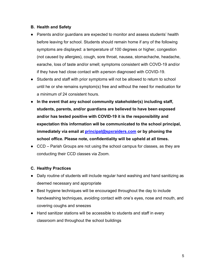#### **B. Health and Safety**

- Parents and/or guardians are expected to monitor and assess students' health before leaving for school. Students should remain home if any of the following symptoms are displayed: a temperature of 100 degrees or higher, congestion (not caused by allergies), cough, sore throat, nausea, stomachache, headache, earache, loss of taste and/or smell; symptoms consistent with COVD-19 and/or if they have had close contact with aperson diagnosed with COVID-19.
- Students and staff with prior symptoms will not be allowed to return to school until he or she remains symptom(s) free and without the need for medication for a minimum of 24 consistent hours.
- **In the event that any school community stakeholder(s) including staff, students, parents, and/or guardians are believed to have been exposed and/or has tested positive with COVID-19 it is the responsibility and expectation this information will be communicated to the school principal, immediately via email at [principal@spxraiders.com](mailto:principal@spxraiders.com) or by phoning the school office. Please note, confidentiality will be upheld at all times.**
- CCD Parish Groups are not using the school campus for classes, as they are conducting their CCD classes via Zoom.

#### **C. Healthy Practices**

- Daily routine of students will include regular hand washing and hand sanitizing as deemed necessary and appropriate
- Best hygiene techniques will be encouraged throughout the day to include handwashing techniques, avoiding contact with one's eyes, nose and mouth, and covering coughs and sneezes
- Hand sanitizer stations will be accessible to students and staff in every classroom and throughout the school buildings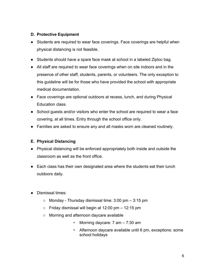#### **D. Protective Equipment**

- Students are required to wear face coverings. Face coverings are helpful when physical distancing is not feasible.
- Students should have a spare face mask at school in a labeled Ziploc bag.
- All staff are required to wear face coverings when on site indoors and in the presence of other staff, students, parents, or volunteers. The only exception to this guideline will be for those who have provided the school with appropriate medical documentation.
- Face coverings are optional outdoors at recess, lunch, and during Physical Education class.
- School guests and/or visitors who enter the school are required to wear a face covering, at all times. Entry through the school office only.
- Families are asked to ensure any and all masks worn are cleaned routinely.

#### **E. Physical Distancing**

- Physical distancing will be enforced appropriately both inside and outside the classroom as well as the front office.
- Each class has their own designated area where the students eat their lunch outdoors daily.
- Dismissal times:
	- $\circ$  Monday Thursday dismissal time: 3:00 pm  $-$  3:15 pm
	- $\circ$  Friday dismissal will begin at 12:00 pm  $-$  12:15 pm
	- Morning and afternoon daycare available
		- Morning daycare: 7 am 7:30 am
		- Afternoon daycare available until 6 pm, exceptions: some school holidays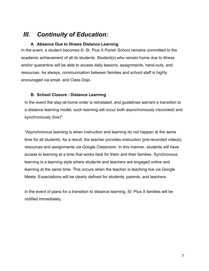### *III. Continuity of Education:*

#### **A. Absence Due to Illness Distance Learning**

In the event, a student becomes ill, St. Pius X Parish School remains committed to the academic achievement of all its students. Student(s) who remain home due to illness and/or quarantine will be able to access daily lessons, assignments, hand-outs, and resources. As always, communication between families and school staff is highly encouraged via email, and Class Dojo.

#### **B. School Closure - Distance Learning**

In the event the stay-at-home order is reinstated, and guidelines warrant a transition to a distance learning model, such learning will occur both asynchronously (recorded) and synchronously (live)\*.

\*Asynchronous learning is when instruction and learning do not happen at the same time for all students. As a result, the teacher provides instruction (pre-recorded videos), resources and assignments via Google Classroom. In this manner, students will have access to learning at a time that works best for them and their families. Synchronous learning is a learning style where students and teachers are engaged online and learning at the same time. This occurs when the teacher is teaching live via Google Meets. Expectations will be clearly defined for students, parents, and teachers.

In the event of plans for a transition to distance learning, St. Pius X families will be notified immediately.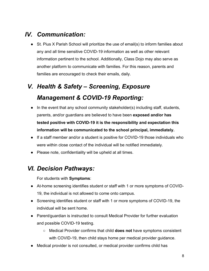## *IV. Communication:*

● St. Pius X Parish School will prioritize the use of email(s) to inform families about any and all time sensitive COVID-19 information as well as other relevant information pertinent to the school. Additionally, Class Dojo may also serve as another platform to communicate with families. For this reason, parents and families are encouraged to check their emails, daily.

## *V. Health & Safety – Screening, Exposure Management & COVID-19 Reporting:*

- In the event that any school community stakeholder(s) including staff, students, parents, and/or guardians are believed to have been **exposed and/or has tested positive with COVID-19 it is the responsibility and expectation this information will be communicated to the school principal, immediately.**
- If a staff member and/or a student is positive for COVID-19 those individuals who were within close contact of the individual will be notified immediately.
- Please note, confidentiality will be upheld at all times.

## *VI. Decision Pathways:*

For students with **Symptoms**:

- At-home screening identifies student or staff with 1 or more symptoms of COVID-19, the individual is not allowed to come onto campus.
- Screening identifies student or staff with 1 or more symptoms of COVID-19, the individual will be sent home.
- Parent/guardian is instructed to consult Medical Provider for further evaluation and possible COVID-19 testing.
	- Medical Provider confirms that child **does not** have symptoms consistent with COVID-19, then child stays home per medical provider guidance.
- Medical provider is not consulted, or medical provider confirms child has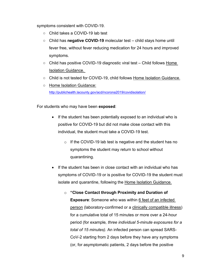symptoms consistent with COVID-19.

- Child takes a COVID-19 lab test
- Child has **negative COVID-19** molecular test child stays home until fever free, without fever reducing medication for 24 hours and improved symptoms.
- Child has positive COVID-19 diagnostic viral test Child follows Home Isolation Guidance.
- Child is not tested for COVID-19, child follows Home Isolation Guidance.
- Home Isolation Guidance: <http://publichealth.lacounty.gov/acd/ncorona2019/covidisolation/>

For students who may have been **exposed**:

- If the student has been potentially exposed to an individual who is positive for COVID-19 but did not make close contact with this individual, the student must take a COVID-19 test.
	- $\circ$  If the COVID-19 lab test is negative and the student has no symptoms the student may return to school without quarantining.
- If the student has been in close contact with an individual who has symptoms of COVID-19 or is positive for COVID-19 the student must isolate and quarantine, following the Home Isolation Guidance.
	- o **"Close Contact through [Proximity and Duration of](https://www.cdc.gov/coronavirus/2019-ncov/science/science-briefs/sars-cov-2-transmission.html)  [Exposure](https://www.cdc.gov/coronavirus/2019-ncov/science/science-briefs/sars-cov-2-transmission.html)**: Someone who was within [6 feet of an infected](https://www.cdc.gov/coronavirus/2019-ncov/prevent-getting-sick/prevention.html#stay6ft)  [person](https://www.cdc.gov/coronavirus/2019-ncov/prevent-getting-sick/prevention.html#stay6ft) (laboratory-confirmed or a [clinically compatible illness\)](https://www.cdc.gov/coronavirus/2019-ncov/hcp/clinical-guidance-management-patients.html) for a cumulative total of 15 minutes or more over a 24-hour period (for example*, three individual 5-minute exposures for a total of 15 minutes).* An infected person can spread SARS-CoV-2 starting from 2 days before they have any symptoms (or, for asymptomatic patients, 2 days before the positive